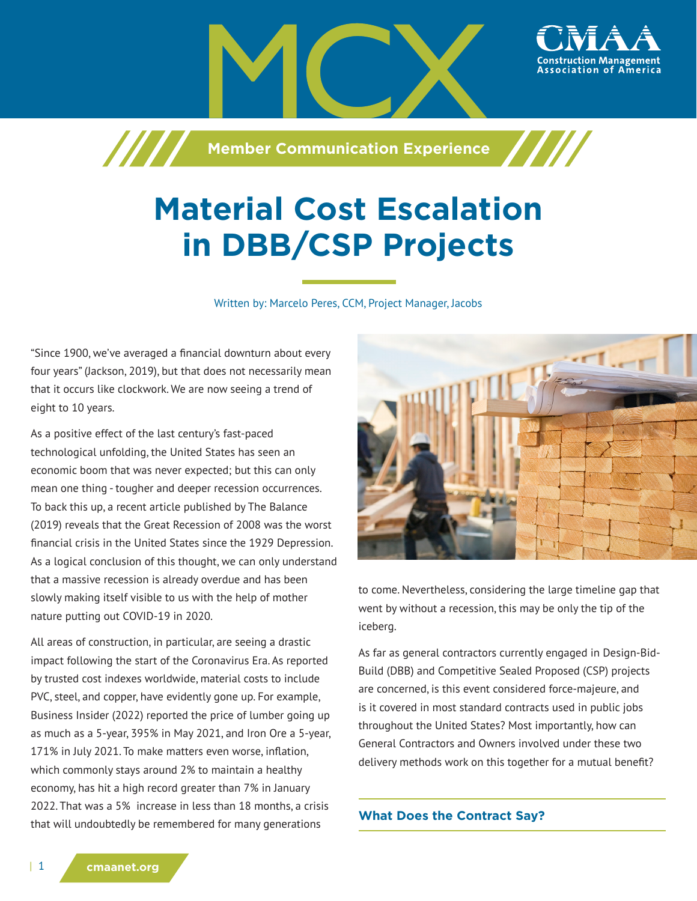

# **Material Cost Escalation in DBB/CSP Projects**

Written by: Marcelo Peres, CCM, Project Manager, Jacobs

"Since 1900, we've averaged a financial downturn about every four years" (Jackson, 2019), but that does not necessarily mean that it occurs like clockwork. We are now seeing a trend of eight to 10 years.

As a positive effect of the last century's fast-paced technological unfolding, the United States has seen an economic boom that was never expected; but this can only mean one thing - tougher and deeper recession occurrences. To back this up, a recent article published by The Balance (2019) reveals that the Great Recession of 2008 was the worst financial crisis in the United States since the 1929 Depression. As a logical conclusion of this thought, we can only understand that a massive recession is already overdue and has been slowly making itself visible to us with the help of mother nature putting out COVID-19 in 2020.

All areas of construction, in particular, are seeing a drastic impact following the start of the Coronavirus Era. As reported by trusted cost indexes worldwide, material costs to include PVC, steel, and copper, have evidently gone up. For example, Business Insider (2022) reported the price of lumber going up as much as a 5-year, 395% in May 2021, and Iron Ore a 5-year, 171% in July 2021. To make matters even worse, inflation, which commonly stays around 2% to maintain a healthy economy, has hit a high record greater than 7% in January 2022. That was a 5% increase in less than 18 months, a crisis that will undoubtedly be remembered for many generations



to come. Nevertheless, considering the large timeline gap that went by without a recession, this may be only the tip of the iceberg.

As far as general contractors currently engaged in Design-Bid-Build (DBB) and Competitive Sealed Proposed (CSP) projects are concerned, is this event considered force-majeure, and is it covered in most standard contracts used in public jobs throughout the United States? Most importantly, how can General Contractors and Owners involved under these two delivery methods work on this together for a mutual benefit?

**What Does the Contract Say?**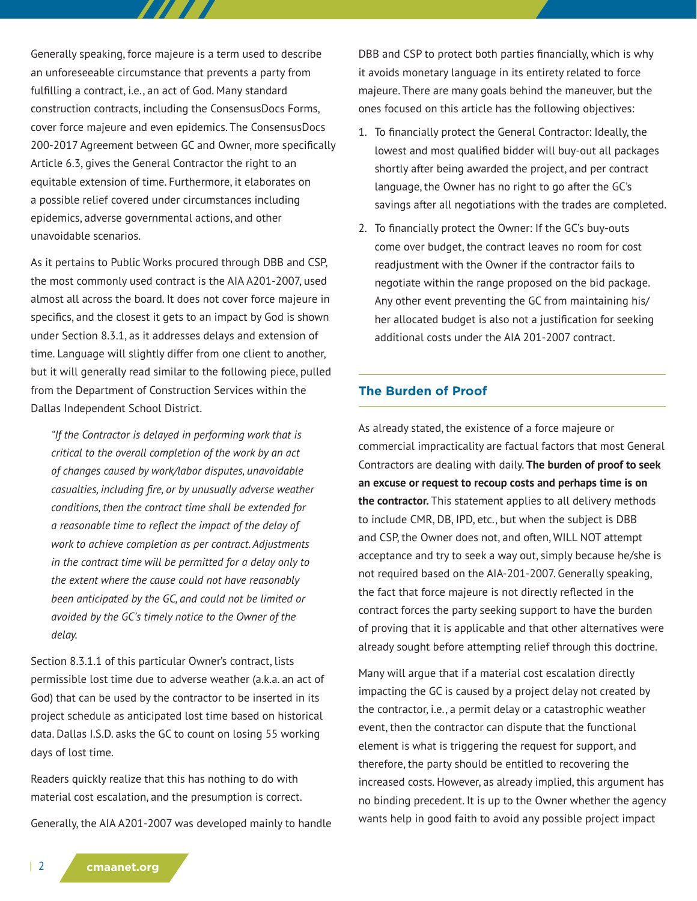Generally speaking, force majeure is a term used to describe an unforeseeable circumstance that prevents a party from fulfilling a contract, i.e., an act of God. Many standard construction contracts, including the ConsensusDocs Forms, cover force majeure and even epidemics. The ConsensusDocs 200-2017 Agreement between GC and Owner, more specifically Article 6.3, gives the General Contractor the right to an equitable extension of time. Furthermore, it elaborates on a possible relief covered under circumstances including epidemics, adverse governmental actions, and other unavoidable scenarios.

777 T T

As it pertains to Public Works procured through DBB and CSP, the most commonly used contract is the AIA A201-2007, used almost all across the board. It does not cover force majeure in specifics, and the closest it gets to an impact by God is shown under Section 8.3.1, as it addresses delays and extension of time. Language will slightly differ from one client to another, but it will generally read similar to the following piece, pulled from the Department of Construction Services within the Dallas Independent School District.

*"If the Contractor is delayed in performing work that is critical to the overall completion of the work by an act of changes caused by work/labor disputes, unavoidable casualties, including fire, or by unusually adverse weather conditions, then the contract time shall be extended for a reasonable time to reflect the impact of the delay of work to achieve completion as per contract. Adjustments in the contract time will be permitted for a delay only to the extent where the cause could not have reasonably been anticipated by the GC, and could not be limited or avoided by the GC's timely notice to the Owner of the delay.*

Section 8.3.1.1 of this particular Owner's contract, lists permissible lost time due to adverse weather (a.k.a. an act of God) that can be used by the contractor to be inserted in its project schedule as anticipated lost time based on historical data. Dallas I.S.D. asks the GC to count on losing 55 working days of lost time.

Readers quickly realize that this has nothing to do with material cost escalation, and the presumption is correct.

Generally, the AIA A201-2007 was developed mainly to handle

DBB and CSP to protect both parties financially, which is why it avoids monetary language in its entirety related to force majeure. There are many goals behind the maneuver, but the ones focused on this article has the following objectives:

- 1. To financially protect the General Contractor: Ideally, the lowest and most qualified bidder will buy-out all packages shortly after being awarded the project, and per contract language, the Owner has no right to go after the GC's savings after all negotiations with the trades are completed.
- 2. To financially protect the Owner: If the GC's buy-outs come over budget, the contract leaves no room for cost readjustment with the Owner if the contractor fails to negotiate within the range proposed on the bid package. Any other event preventing the GC from maintaining his/ her allocated budget is also not a justification for seeking additional costs under the AIA 201-2007 contract.

### **The Burden of Proof**

As already stated, the existence of a force majeure or commercial impracticality are factual factors that most General Contractors are dealing with daily. **The burden of proof to seek an excuse or request to recoup costs and perhaps time is on the contractor.** This statement applies to all delivery methods to include CMR, DB, IPD, etc., but when the subject is DBB and CSP, the Owner does not, and often, WILL NOT attempt acceptance and try to seek a way out, simply because he/she is not required based on the AIA-201-2007. Generally speaking, the fact that force majeure is not directly reflected in the contract forces the party seeking support to have the burden of proving that it is applicable and that other alternatives were already sought before attempting relief through this doctrine.

Many will argue that if a material cost escalation directly impacting the GC is caused by a project delay not created by the contractor, i.e., a permit delay or a catastrophic weather event, then the contractor can dispute that the functional element is what is triggering the request for support, and therefore, the party should be entitled to recovering the increased costs. However, as already implied, this argument has no binding precedent. It is up to the Owner whether the agency wants help in good faith to avoid any possible project impact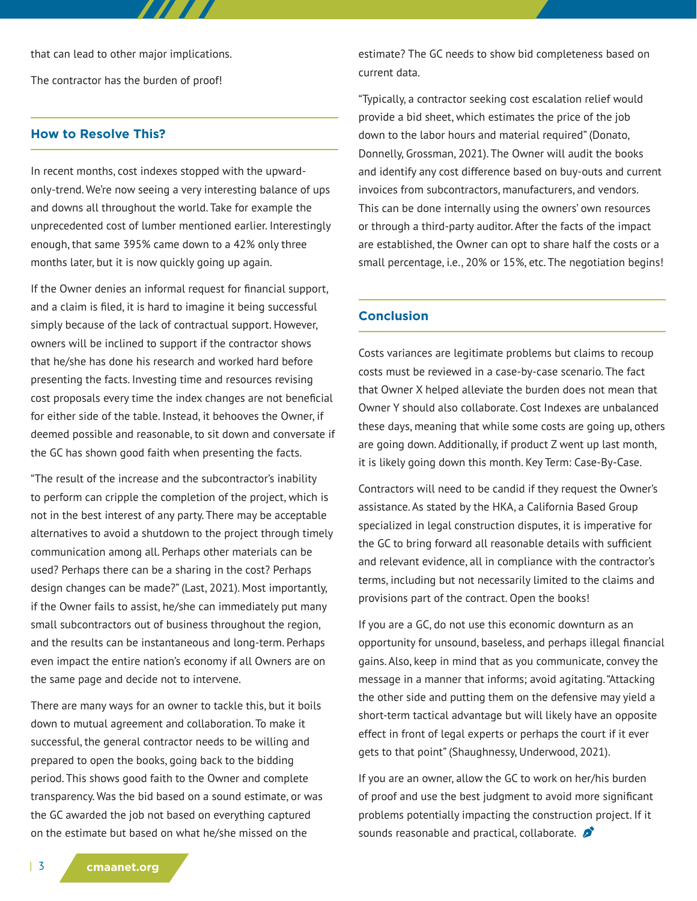that can lead to other major implications. The contractor has the burden of proof!

#### **How to Resolve This?**

In recent months, cost indexes stopped with the upwardonly-trend. We're now seeing a very interesting balance of ups and downs all throughout the world. Take for example the unprecedented cost of lumber mentioned earlier. Interestingly enough, that same 395% came down to a 42% only three months later, but it is now quickly going up again.

77 T 77

If the Owner denies an informal request for financial support, and a claim is filed, it is hard to imagine it being successful simply because of the lack of contractual support. However, owners will be inclined to support if the contractor shows that he/she has done his research and worked hard before presenting the facts. Investing time and resources revising cost proposals every time the index changes are not beneficial for either side of the table. Instead, it behooves the Owner, if deemed possible and reasonable, to sit down and conversate if the GC has shown good faith when presenting the facts.

"The result of the increase and the subcontractor's inability to perform can cripple the completion of the project, which is not in the best interest of any party. There may be acceptable alternatives to avoid a shutdown to the project through timely communication among all. Perhaps other materials can be used? Perhaps there can be a sharing in the cost? Perhaps design changes can be made?" (Last, 2021). Most importantly, if the Owner fails to assist, he/she can immediately put many small subcontractors out of business throughout the region, and the results can be instantaneous and long-term. Perhaps even impact the entire nation's economy if all Owners are on the same page and decide not to intervene.

There are many ways for an owner to tackle this, but it boils down to mutual agreement and collaboration. To make it successful, the general contractor needs to be willing and prepared to open the books, going back to the bidding period. This shows good faith to the Owner and complete transparency. Was the bid based on a sound estimate, or was the GC awarded the job not based on everything captured on the estimate but based on what he/she missed on the

estimate? The GC needs to show bid completeness based on current data.

"Typically, a contractor seeking cost escalation relief would provide a bid sheet, which estimates the price of the job down to the labor hours and material required" (Donato, Donnelly, Grossman, 2021). The Owner will audit the books and identify any cost difference based on buy-outs and current invoices from subcontractors, manufacturers, and vendors. This can be done internally using the owners' own resources or through a third-party auditor. After the facts of the impact are established, the Owner can opt to share half the costs or a small percentage, i.e., 20% or 15%, etc. The negotiation begins!

#### **Conclusion**

Costs variances are legitimate problems but claims to recoup costs must be reviewed in a case-by-case scenario. The fact that Owner X helped alleviate the burden does not mean that Owner Y should also collaborate. Cost Indexes are unbalanced these days, meaning that while some costs are going up, others are going down. Additionally, if product Z went up last month, it is likely going down this month. Key Term: Case-By-Case.

Contractors will need to be candid if they request the Owner's assistance. As stated by the HKA, a California Based Group specialized in legal construction disputes, it is imperative for the GC to bring forward all reasonable details with sufficient and relevant evidence, all in compliance with the contractor's terms, including but not necessarily limited to the claims and provisions part of the contract. Open the books!

If you are a GC, do not use this economic downturn as an opportunity for unsound, baseless, and perhaps illegal financial gains. Also, keep in mind that as you communicate, convey the message in a manner that informs; avoid agitating. "Attacking the other side and putting them on the defensive may yield a short-term tactical advantage but will likely have an opposite effect in front of legal experts or perhaps the court if it ever gets to that point" (Shaughnessy, Underwood, 2021).

If you are an owner, allow the GC to work on her/his burden of proof and use the best judgment to avoid more significant problems potentially impacting the construction project. If it sounds reasonable and practical, collaborate.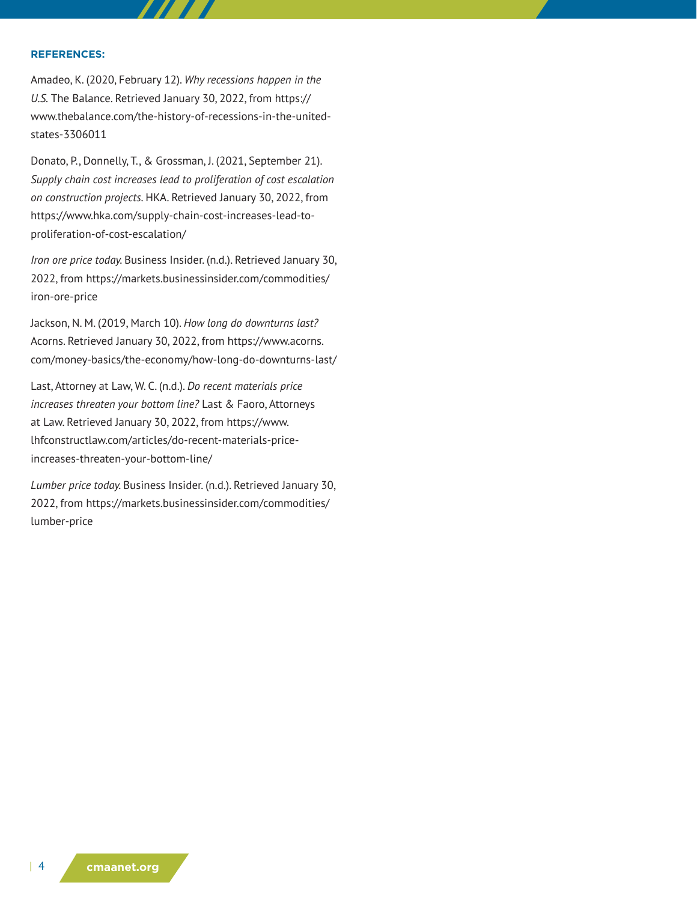#### **REFERENCES:**

Amadeo, K. (2020, February 12). *Why recessions happen in the U.S.* The Balance. Retrieved January 30, 2022, from https:// www.thebalance.com/the-history-of-recessions-in-the-unitedstates-3306011

Donato, P., Donnelly, T., & Grossman, J. (2021, September 21). *Supply chain cost increases lead to proliferation of cost escalation on construction projects.* HKA. Retrieved January 30, 2022, from https://www.hka.com/supply-chain-cost-increases-lead-toproliferation-of-cost-escalation/

*Iron ore price today.* Business Insider. (n.d.). Retrieved January 30, 2022, from https://markets.businessinsider.com/commodities/ iron-ore-price

Jackson, N. M. (2019, March 10). *How long do downturns last?* Acorns. Retrieved January 30, 2022, from https://www.acorns. com/money-basics/the-economy/how-long-do-downturns-last/

Last, Attorney at Law, W. C. (n.d.). *Do recent materials price increases threaten your bottom line?* Last & Faoro, Attorneys at Law. Retrieved January 30, 2022, from https://www. lhfconstructlaw.com/articles/do-recent-materials-priceincreases-threaten-your-bottom-line/

*Lumber price today.* Business Insider. (n.d.). Retrieved January 30, 2022, from https://markets.businessinsider.com/commodities/ lumber-price